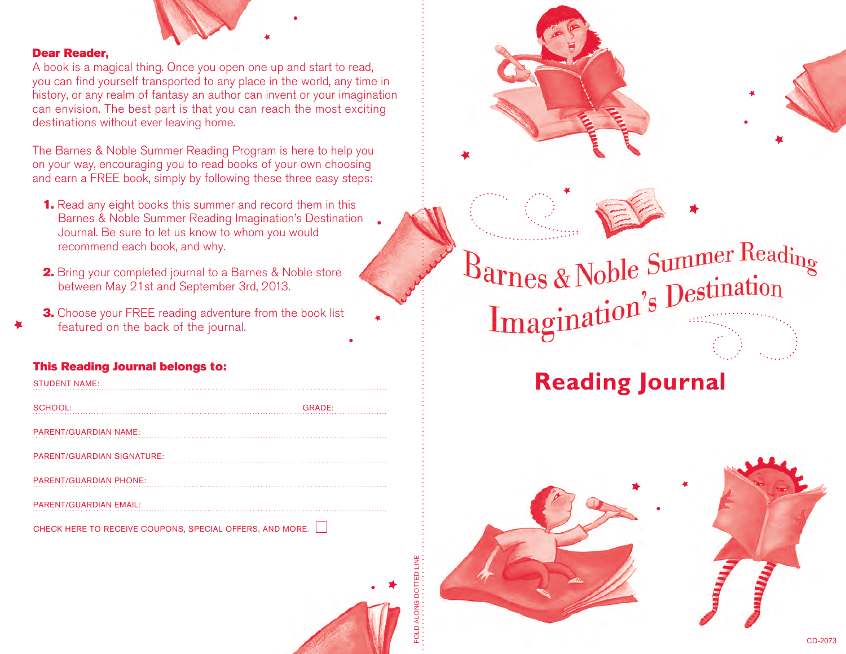

### Dear Reader,

A book is a magical thing. Once you open one up and start to read, you can find yourself transported to any place in the world, any time in history, or any realm of fantasy an author can invent or your imagination can envision. The best part is that you can reach the most exciting destinations without ever leaving home.

The Barnes & Noble Summer Reading Program is here to help you on your way, encouraging you to read books of your own choosing and earn a FREE book, simply by following these three easy steps:

- 1. Read any eight books this summer and record them in this Barnes & Noble Summer Reading Imagination's Destination Journal. Be sure to let us know to whom you would recommend each book, and why.
- 2. Bring your completed journal to a Barnes & Noble store between May 21st and September 3rd, 2013.
- **3.** Choose your FREE reading adventure from the book list featured on the back of the journal.

## This Reading Journal belongs to:

| <b>STUDENT NAME:</b>              |               |
|-----------------------------------|---------------|
| SCHOOL:                           | <b>GRADE:</b> |
| <b>PARENT/GUARDIAN NAME:</b>      |               |
| <b>PARENT/GUARDIAN SIGNATURE:</b> |               |
| <b>PARENT/GUARDIAN PHONE:</b>     |               |
| <b>PARENT/GUARDIAN EMAIL:</b>     |               |

CHECK HERE TO RECEIVE COUPONS, SPECIAL OFFERS, AND MORE.

FOLD ALONG DOTTED LINE



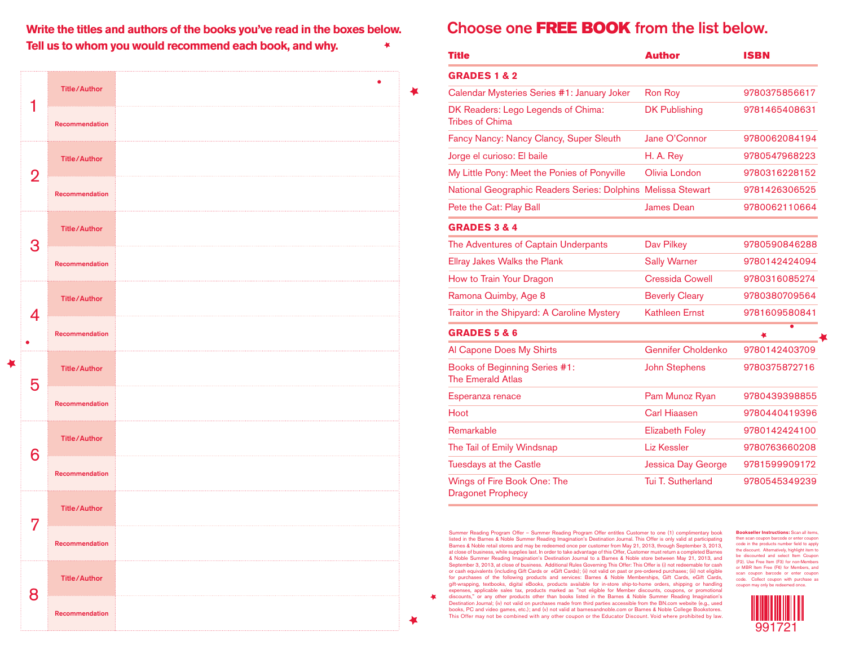**Write the titles and authors of the books you've read in the boxes below. Tell us to whom you would recommend each book, and why.**

|   | <b>Title/Author</b>      |  |
|---|--------------------------|--|
|   | Recommendation           |  |
| 2 | <b>Title/Author</b>      |  |
|   | Recommendation           |  |
| З | .<br><b>Title/Author</b> |  |
|   | Recommendation           |  |
| 4 | <b>Title/Author</b>      |  |
|   | Recommendation           |  |
| 5 | <b>Title/Author</b>      |  |
|   | Recommendation           |  |
| 6 | <b>Title/Author</b>      |  |
|   | Recommendation           |  |
| 7 | <b>Title/Author</b>      |  |
|   | Recommendation           |  |
| X | <b>Title/Author</b>      |  |
|   |                          |  |

老

# Choose one FREE BOOK from the list below.

₩

孝

∙

| <b>Title</b>                                                 | <b>Author</b>             | <b>ISBN</b>   |
|--------------------------------------------------------------|---------------------------|---------------|
| <b>GRADES 1 &amp; 2</b>                                      |                           |               |
| Calendar Mysteries Series #1: January Joker                  | <b>Ron Roy</b>            | 9780375856617 |
| DK Readers: Lego Legends of Chima:<br><b>Tribes of Chima</b> | <b>DK Publishing</b>      | 9781465408631 |
| Fancy Nancy: Nancy Clancy, Super Sleuth                      | Jane O'Connor             | 9780062084194 |
| Jorge el curioso: El baile                                   | H. A. Rey                 | 9780547968223 |
| My Little Pony: Meet the Ponies of Ponyville                 | Olivia London             | 9780316228152 |
| National Geographic Readers Series: Dolphins Melissa Stewart |                           | 9781426306525 |
| Pete the Cat: Play Ball                                      | <b>James Dean</b>         | 9780062110664 |
| <b>GRADES 3 &amp; 4</b>                                      |                           |               |
| The Adventures of Captain Underpants                         | Dav Pilkey                | 9780590846288 |
| <b>Ellray Jakes Walks the Plank</b>                          | <b>Sally Warner</b>       | 9780142424094 |
| How to Train Your Dragon                                     | <b>Cressida Cowell</b>    | 9780316085274 |
| Ramona Quimby, Age 8                                         | <b>Beverly Cleary</b>     | 9780380709564 |
| Traitor in the Shipyard: A Caroline Mystery                  | <b>Kathleen Ernst</b>     | 9781609580841 |
| <b>GRADES 5 &amp; 6</b>                                      |                           |               |
| Al Capone Does My Shirts                                     | <b>Gennifer Choldenko</b> | 9780142403709 |
| Books of Beginning Series #1:<br><b>The Emerald Atlas</b>    | <b>John Stephens</b>      | 9780375872716 |
| Esperanza renace                                             | Pam Munoz Ryan            | 9780439398855 |
| Hoot                                                         | <b>Carl Hiaasen</b>       | 9780440419396 |
| Remarkable                                                   | <b>Elizabeth Foley</b>    | 9780142424100 |
| The Tail of Emily Windsnap                                   | <b>Liz Kessler</b>        | 9780763660208 |
| <b>Tuesdays at the Castle</b>                                | <b>Jessica Day George</b> | 9781599909172 |
| Wings of Fire Book One: The<br><b>Dragonet Prophecy</b>      | Tui T. Sutherland         | 9780545349239 |

Summer Reading Program Offer – Summer Reading Program Offer entitles Customer to one (1) complimentary book listed in the Barnes & Noble Summer Reading Imagination's Destination Journal. This Offer is only valid at participating Barnes & Noble retail stores and may be redeemed once per customer from May 21, 2013, through September 3, 2013, at close of business, while supplies last. In order to take advantage of this Offer, Customer must return a completed Barnes & Noble Summer Reading Imagination's Destination Journal to a Barnes & Noble store between May 21, 2013, and September 3, 2013, at close of business. Additional Rules Governing This Offer: This Offer is (i) not redeemable for cash or cash equivalents (including Gift Cards or eGift Cards); (ii) not valid on past or pre-ordered purchases; (iii) not eligible for purchases of the following products and services: Barnes & Noble Memberships, Gift Cards, eGift Cards, gift-wrapping, textbooks, digital eBooks, products available for in-store ship-to-home orders, shipping or handling expenses, applicable sales tax, products marked as "not eligible for Member discounts, coupons, or promotional discounts," or any other products other than books listed in the Barnes & Noble Summer Reading Imagination's

Destination Journal; (iv) not valid on purchases made from third parties accessible from the BN.com website (e.g., used books, PC and video games, etc.); and (v) not valid at barnesandnoble.com or Barnes & Noble College Bookstores. This Offer may not be combined with any other coupon or the Educator Discount. Void where prohibited by law. **Bookseller Instructions:** Scan all items, then scan coupon barcode or enter coupon code in the products number field to apply the discount. Alternatively, highlight item to be discounted and select Item Coupon (F2). Use Free Item (F3) for non-Members or MBR Item Free (F6) for Members, and scan coupon barcode or enter coupon code. Collect coupon with purchase as coupon may only be redeemed once.

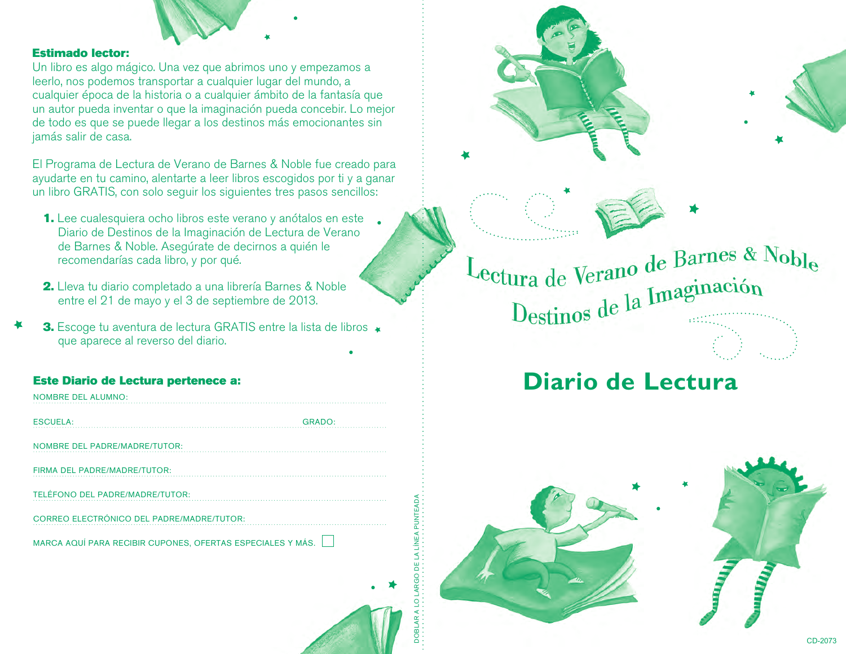

#### Estimado lector:

Un libro es algo mágico. Una vez que abrimos uno y empezamos a leerlo, nos podemos transportar a cualquier lugar del mundo, a cualquier época de la historia o a cualquier ámbito de la fantasía que un autor pueda inventar o que la imaginación pueda concebir. Lo mejor de todo es que se puede llegar a los destinos más emocionantes sin jamás salir de casa.

El Programa de Lectura de Verano de Barnes & Noble fue creado para ayudarte en tu camino, alentarte a leer libros escogidos por ti y a ganar un libro GRATIS, con solo seguir los siguientes tres pasos sencillos:

- 1. Lee cualesquiera ocho libros este verano y anótalos en este Diario de Destinos de la Imaginación de Lectura de Verano de Barnes & Noble. Asegúrate de decirnos a quién le recomendarías cada libro, y por qué.
- 2. Lleva tu diario completado a una librería Barnes & Noble entre el 21 de mayo y el 3 de septiembre de 2013.
- 3. Escoge tu aventura de lectura GRATIS entre la lista de libros \* que aparece al reverso del diario.

## Este Diario de Lectura pertenece a:

| <b>NOMBRE DEL ALUMNO:</b>                                  |
|------------------------------------------------------------|
| <b>GRADO:</b><br><b>ESCUELA:</b>                           |
| <b>NOMBRE DEL PADRE/MADRE/TUTOR:</b>                       |
| FIRMA DEL PADRE/MADRE/TUTOR:                               |
| TELÉFONO DEL PADRE/MADRE/TUTOR:                            |
| <b>CORREO ELECTRÓNICO DEL PADRE/MADRE/TUTOR:</b>           |
| MARCA AQUÍ PARA RECIBIR CUPONES, OFERTAS ESPECIALES Y MÁS. |
|                                                            |
|                                                            |
|                                                            |

DOBLAR A LO LARGO DE LA LÍNEA PUNTEADA